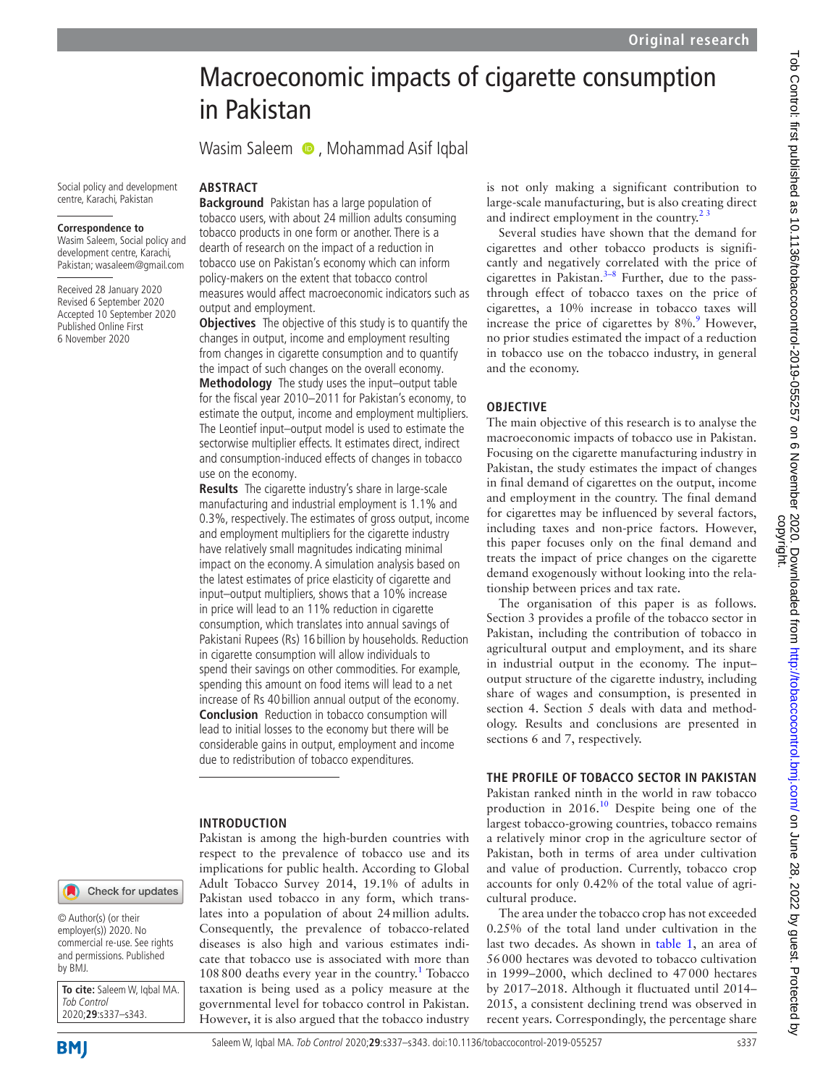# Macroeconomic impacts of cigarette consumption in Pakistan

WasimSaleem **D**, Mohammad Asif Iqbal

Social policy and development centre, Karachi, Pakistan

#### **Correspondence to**

Wasim Saleem, Social policy and development centre, Karachi, Pakistan; wasaleem@gmail.com

Received 28 January 2020 Revised 6 September 2020 Accepted 10 September 2020 Published Online First 6 November 2020

#### **ABSTRACT**

**Background** Pakistan has a large population of tobacco users, with about 24 million adults consuming tobacco products in one form or another. There is a dearth of research on the impact of a reduction in tobacco use on Pakistan's economy which can inform policy-makers on the extent that tobacco control measures would affect macroeconomic indicators such as output and employment.

**Objectives** The objective of this study is to quantify the changes in output, income and employment resulting from changes in cigarette consumption and to quantify the impact of such changes on the overall economy. **Methodology** The study uses the input–output table for the fiscal year 2010–2011 for Pakistan's economy, to estimate the output, income and employment multipliers. The Leontief input–output model is used to estimate the sectorwise multiplier effects. It estimates direct, indirect and consumption-induced effects of changes in tobacco use on the economy.

**Results** The cigarette industry's share in large-scale manufacturing and industrial employment is 1.1% and 0.3%, respectively. The estimates of gross output, income and employment multipliers for the cigarette industry have relatively small magnitudes indicating minimal impact on the economy. A simulation analysis based on the latest estimates of price elasticity of cigarette and input–output multipliers, shows that a 10% increase in price will lead to an 11% reduction in cigarette consumption, which translates into annual savings of Pakistani Rupees (Rs) 16 billion by households. Reduction in cigarette consumption will allow individuals to spend their savings on other commodities. For example, spending this amount on food items will lead to a net increase of Rs 40 billion annual output of the economy. **Conclusion** Reduction in tobacco consumption will lead to initial losses to the economy but there will be considerable gains in output, employment and income due to redistribution of tobacco expenditures.

#### **INTRODUCTION**

Pakistan is among the high-burden countries with respect to the prevalence of tobacco use and its implications for public health. According to Global Adult Tobacco Survey 2014, 19.1% of adults in Pakistan used tobacco in any form, which translates into a population of about 24million adults. Consequently, the prevalence of tobacco-related diseases is also high and various estimates indicate that tobacco use is associated with more than [1](#page-5-0)08 800 deaths every year in the country.<sup>1</sup> Tobacco taxation is being used as a policy measure at the governmental level for tobacco control in Pakistan. However, it is also argued that the tobacco industry

is not only making a significant contribution to large-scale manufacturing, but is also creating direct and indirect employment in the country.<sup>23</sup>

Several studies have shown that the demand for cigarettes and other tobacco products is significantly and negatively correlated with the price of cigarettes in Pakistan. $3-8$  Further, due to the passthrough effect of tobacco taxes on the price of cigarettes, a 10% increase in tobacco taxes will increase the price of cigarettes by  $8\%$ . However, no prior studies estimated the impact of a reduction in tobacco use on the tobacco industry, in general and the economy.

#### **OBJECTIVE**

The main objective of this research is to analyse the macroeconomic impacts of tobacco use in Pakistan. Focusing on the cigarette manufacturing industry in Pakistan, the study estimates the impact of changes in final demand of cigarettes on the output, income and employment in the country. The final demand for cigarettes may be influenced by several factors, including taxes and non-price factors. However, this paper focuses only on the final demand and treats the impact of price changes on the cigarette demand exogenously without looking into the relationship between prices and tax rate.

The organisation of this paper is as follows. Section 3 provides a profile of the tobacco sector in Pakistan, including the contribution of tobacco in agricultural output and employment, and its share in industrial output in the economy. The input– output structure of the cigarette industry, including share of wages and consumption, is presented in section 4. Section 5 deals with data and methodology. Results and conclusions are presented in sections 6 and 7, respectively.

## **THE PROFILE OF TOBACCO SECTOR IN PAKISTAN**

Pakistan ranked ninth in the world in raw tobacco production in 2016.<sup>10</sup> Despite being one of the largest tobacco-growing countries, tobacco remains a relatively minor crop in the agriculture sector of Pakistan, both in terms of area under cultivation and value of production. Currently, tobacco crop accounts for only 0.42% of the total value of agricultural produce.

The area under the tobacco crop has not exceeded 0.25% of the total land under cultivation in the last two decades. As shown in [table](#page-1-0) 1, an area of 56000 hectares was devoted to tobacco cultivation in 1999–2000, which declined to 47000 hectares by 2017–2018. Although it fluctuated until 2014– 2015, a consistent declining trend was observed in recent years. Correspondingly, the percentage share

Check for updates

© Author(s) (or their employer(s)) 2020. No commercial re-use. See rights and permissions. Published by BMJ.

**To cite:** Saleem W, Iqbal MA. Tob Control 2020;**29**:s337–s343.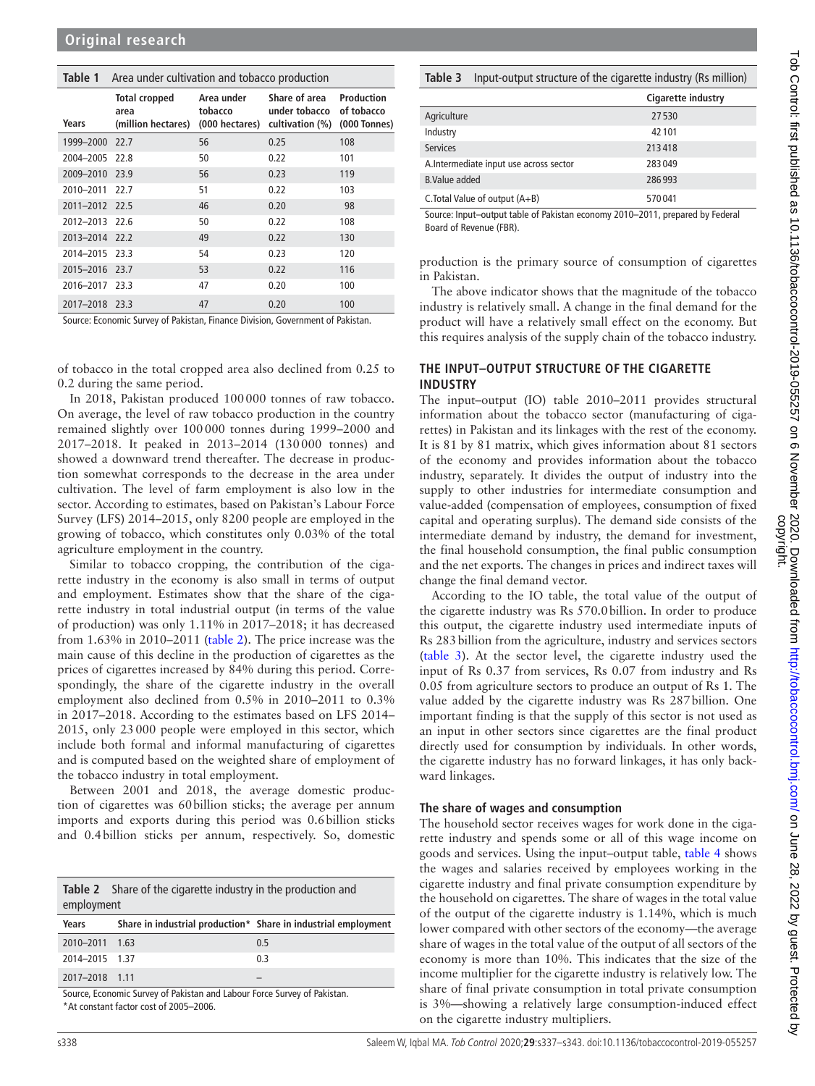#### <span id="page-1-0"></span>**Table 1** Area under cultivation and tobacco production

| Years          | <b>Total cropped</b><br>area<br>(million hectares) | Area under<br>tobacco<br>(000 hectares) | Share of area<br>under tobacco<br>cultivation (%) | Production<br>of tobacco<br>(000 Tonnes) |
|----------------|----------------------------------------------------|-----------------------------------------|---------------------------------------------------|------------------------------------------|
| 1999-2000 22.7 |                                                    | 56                                      | 0.25                                              | 108                                      |
| 2004-2005 22.8 |                                                    | 50                                      | 0.22                                              | 101                                      |
| 2009-2010 23.9 |                                                    | 56                                      | 0.23                                              | 119                                      |
| 2010-2011      | 22.7                                               | 51                                      | 0.22                                              | 103                                      |
| 2011-2012 22.5 |                                                    | 46                                      | 0.20                                              | 98                                       |
| 2012-2013 22.6 |                                                    | 50                                      | 0.22                                              | 108                                      |
| 2013-2014 22.2 |                                                    | 49                                      | 0.22                                              | 130                                      |
| 2014-2015 23.3 |                                                    | 54                                      | 0.23                                              | 120                                      |
| 2015-2016 23.7 |                                                    | 53                                      | 0.22                                              | 116                                      |
| 2016-2017 23.3 |                                                    | 47                                      | 0.20                                              | 100                                      |
| 2017-2018 23.3 |                                                    | 47                                      | 0.20                                              | 100                                      |

Source: Economic Survey of Pakistan, Finance Division, Government of Pakistan.

of tobacco in the total cropped area also declined from 0.25 to 0.2 during the same period.

In 2018, Pakistan produced 100000 tonnes of raw tobacco. On average, the level of raw tobacco production in the country remained slightly over 100000 tonnes during 1999–2000 and 2017–2018. It peaked in 2013–2014 (130000 tonnes) and showed a downward trend thereafter. The decrease in production somewhat corresponds to the decrease in the area under cultivation. The level of farm employment is also low in the sector. According to estimates, based on Pakistan's Labour Force Survey (LFS) 2014–2015, only 8200 people are employed in the growing of tobacco, which constitutes only 0.03% of the total agriculture employment in the country.

Similar to tobacco cropping, the contribution of the cigarette industry in the economy is also small in terms of output and employment. Estimates show that the share of the cigarette industry in total industrial output (in terms of the value of production) was only 1.11% in 2017–2018; it has decreased from 1.63% in 2010–2011 [\(table](#page-1-1) 2). The price increase was the main cause of this decline in the production of cigarettes as the prices of cigarettes increased by 84% during this period. Correspondingly, the share of the cigarette industry in the overall employment also declined from 0.5% in 2010–2011 to 0.3% in 2017–2018. According to the estimates based on LFS 2014– 2015, only 23000 people were employed in this sector, which include both formal and informal manufacturing of cigarettes and is computed based on the weighted share of employment of the tobacco industry in total employment.

Between 2001 and 2018, the average domestic production of cigarettes was 60billion sticks; the average per annum imports and exports during this period was 0.6billion sticks and 0.4billion sticks per annum, respectively. So, domestic

<span id="page-1-1"></span>

|            | <b>Table 2</b> Share of the cigarette industry in the production and |
|------------|----------------------------------------------------------------------|
| employment |                                                                      |

| Years          | Share in industrial production* Share in industrial employment |
|----------------|----------------------------------------------------------------|
| 2010-2011 1.63 | 0.5                                                            |
| 2014-2015 1.37 | 0.3                                                            |
| 2017-2018 1.11 |                                                                |

Source, Economic Survey of Pakistan and Labour Force Survey of Pakistan.

\*At constant factor cost of 2005–2006.

#### <span id="page-1-2"></span>**Table 3** Input-output structure of the cigarette industry (Rs million)

|                                        | Cigarette industry |
|----------------------------------------|--------------------|
| Agriculture                            | 27530              |
| Industry                               | 42101              |
| <b>Services</b>                        | 213418             |
| A.Intermediate input use across sector | 283049             |
| <b>B.Value added</b>                   | 286993             |
| C. Total Value of output $(A+B)$       | 570041             |

Source: Input–output table of Pakistan economy 2010–2011, prepared by Federal Board of Revenue (FBR).

production is the primary source of consumption of cigarettes in Pakistan.

The above indicator shows that the magnitude of the tobacco industry is relatively small. A change in the final demand for the product will have a relatively small effect on the economy. But this requires analysis of the supply chain of the tobacco industry.

## **THE INPUT–OUTPUT STRUCTURE OF THE CIGARETTE INDUSTRY**

The input–output (IO) table 2010–2011 provides structural information about the tobacco sector (manufacturing of cigarettes) in Pakistan and its linkages with the rest of the economy. It is 81 by 81 matrix, which gives information about 81 sectors of the economy and provides information about the tobacco industry, separately. It divides the output of industry into the supply to other industries for intermediate consumption and value-added (compensation of employees, consumption of fixed capital and operating surplus). The demand side consists of the intermediate demand by industry, the demand for investment, the final household consumption, the final public consumption and the net exports. The changes in prices and indirect taxes will change the final demand vector.

According to the IO table, the total value of the output of the cigarette industry was Rs 570.0billion. In order to produce this output, the cigarette industry used intermediate inputs of Rs 283billion from the agriculture, industry and services sectors ([table](#page-1-2) 3). At the sector level, the cigarette industry used the input of Rs 0.37 from services, Rs 0.07 from industry and Rs 0.05 from agriculture sectors to produce an output of Rs 1. The value added by the cigarette industry was Rs 287billion. One important finding is that the supply of this sector is not used as an input in other sectors since cigarettes are the final product directly used for consumption by individuals. In other words, the cigarette industry has no forward linkages, it has only backward linkages.

#### **The share of wages and consumption**

The household sector receives wages for work done in the cigarette industry and spends some or all of this wage income on goods and services. Using the input–output table, [table](#page-2-0) 4 shows the wages and salaries received by employees working in the cigarette industry and final private consumption expenditure by the household on cigarettes. The share of wages in the total value of the output of the cigarette industry is 1.14%, which is much lower compared with other sectors of the economy—the average share of wages in the total value of the output of all sectors of the economy is more than 10%. This indicates that the size of the income multiplier for the cigarette industry is relatively low. The share of final private consumption in total private consumption is 3%—showing a relatively large consumption-induced effect on the cigarette industry multipliers.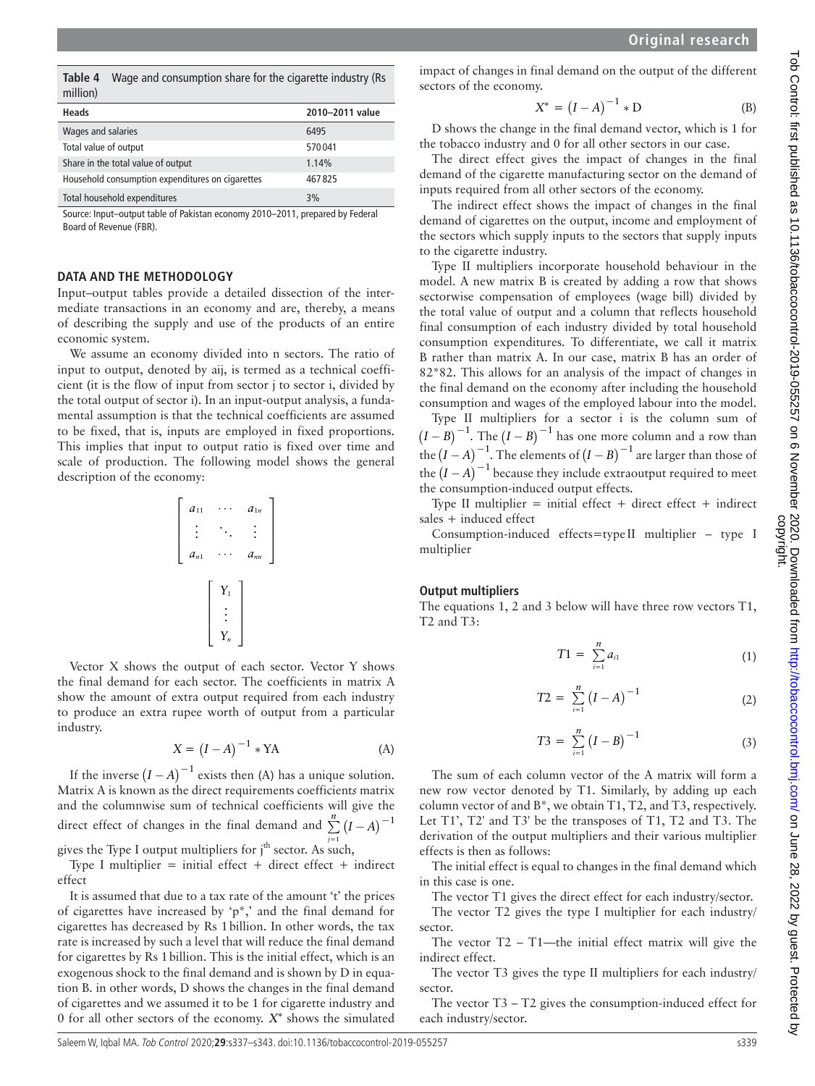<span id="page-2-0"></span>**Table 4** Wage and consumption share for the cigarette industry (Rs million)

| Heads                                            | 2010-2011 value |
|--------------------------------------------------|-----------------|
| Wages and salaries                               | 6495            |
| Total value of output                            | 570041          |
| Share in the total value of output               | 1.14%           |
| Household consumption expenditures on cigarettes | 467825          |
| Total household expenditures                     | 3%              |

Source: Input–output table of Pakistan economy 2010–2011, prepared by Federal Board of Revenue (FBR).

#### **DATA AND THE METHODOLOGY**

Input–output tables provide a detailed dissection of the intermediate transactions in an economy and are, thereby, a means of describing the supply and use of the products of an entire economic system.

We assume an economy divided into n sectors. The ratio of input to output, denoted by aij, is termed as a technical coefficient (it is the flow of input from sector j to sector i, divided by the total output of sector i). In an input-output analysis, a fundamental assumption is that the technical coefficients are assumed to be fixed, that is, inputs are employed in fixed proportions. This implies that input to output ratio is fixed over time and scale of production. The following model shows the general description of the economy:

$$
\left[\begin{array}{ccc} a_{11} & \cdots & a_{1n} \\ \vdots & \ddots & \vdots \\ a_{n1} & \cdots & a_{nn} \end{array}\right]
$$
\n
$$
\left[\begin{array}{c} Y_1 \\ \vdots \\ Y_n \end{array}\right]
$$

Vector X shows the output of each sector. Vector Y shows the final demand for each sector. The coefficients in matrix A show the amount of extra output required from each industry to produce an extra rupee worth of output from a particular industry.

$$
X = (I - A)^{-1} * YA
$$
 (A)

If the inverse  $(I - A)^{-1}$  exists then (A) has a unique solution. Matrix A is known as the direct requirements coefficient*s* matrix and the columnwise sum of technical coefficients will give the direct effect of changes in the final demand and  $\sum_{n=1}^{n} (I - A)^{-1}$ 

gives the Type I output multipliers for j<sup>th</sup> sector. As such,

Type I multiplier = initial effect + direct effect + indirect effect

It is assumed that due to a tax rate of the amount 't' the prices of cigarettes have increased by 'p<sup>\*</sup>,' and the final demand for cigarettes has decreased by Rs 1billion. In other words, the tax rate is increased by such a level that will reduce the final demand for cigarettes by Rs 1billion. This is the initial effect, which is an exogenous shock to the final demand and is shown by D in equation B. in other words, D shows the changes in the final demand of cigarettes and we assumed it to be 1 for cigarette industry and 0 for all other sectors of the economy. *X∗* shows the simulated

impact of changes in final demand on the output of the different sectors of the economy.

$$
X^* = (I - A)^{-1} * D
$$
 (B)

D shows the change in the final demand vector, which is 1 for the tobacco industry and 0 for all other sectors in our case.

The direct effect gives the impact of changes in the final demand of the cigarette manufacturing sector on the demand of inputs required from all other sectors of the economy.

The indirect effect shows the impact of changes in the final demand of cigarettes on the output, income and employment of the sectors which supply inputs to the sectors that supply inputs to the cigarette industry.

Type II multipliers incorporate household behaviour in the model. A new matrix B is created by adding a row that shows sectorwise compensation of employees (wage bill) divided by the total value of output and a column that reflects household final consumption of each industry divided by total household consumption expenditures. To differentiate, we call it matrix B rather than matrix A. In our case, matrix B has an order of 82\*82. This allows for an analysis of the impact of changes in the final demand on the economy after including the household consumption and wages of the employed labour into the model.

Type II multipliers for a sector i is the column sum of  $(I - B)^{-1}$ . The  $(I - B)^{-1}$  has one more column and a row than the  $(I - A)^{-1}$ . The elements of  $(I - B)^{-1}$  are larger than those of the  $(I - A)^{-1}$  because they include extraoutput required to meet the consumption-induced output effects.

Type II multiplier  $=$  initial effect  $+$  direct effect  $+$  indirect sales + induced effect

Consumption-induced effects=type II multiplier – type I multiplier

#### **Output multipliers**

The equations 1, 2 and 3 below will have three row vectors T1, T2 and T3:

$$
T1 = \sum_{i=1}^{n} a_{i1}
$$
 (1)

$$
T2 = \sum_{i=1}^{n} (I - A)^{-1}
$$
 (2)

$$
T3 = \sum_{i=1}^{n} (I - B)^{-1}
$$
 (3)

The sum of each column vector of the A matrix will form a new row vector denoted by T1. Similarly, by adding up each column vector of and B\*, we obtain T1, T2, and T3, respectively. Let T1', T2' and T3' be the transposes of T1, T2 and T3. The derivation of the output multipliers and their various multiplier effects is then as follows:

The initial effect is equal to changes in the final demand which in this case is one.

The vector T1 gives the direct effect for each industry/sector. The vector T2 gives the type I multiplier for each industry/ sector.

The vector  $T2 - T1$ —the initial effect matrix will give the indirect effect.

The vector T3 gives the type II multipliers for each industry/ sector.

The vector T3 – T2 gives the consumption-induced effect for each industry/sector.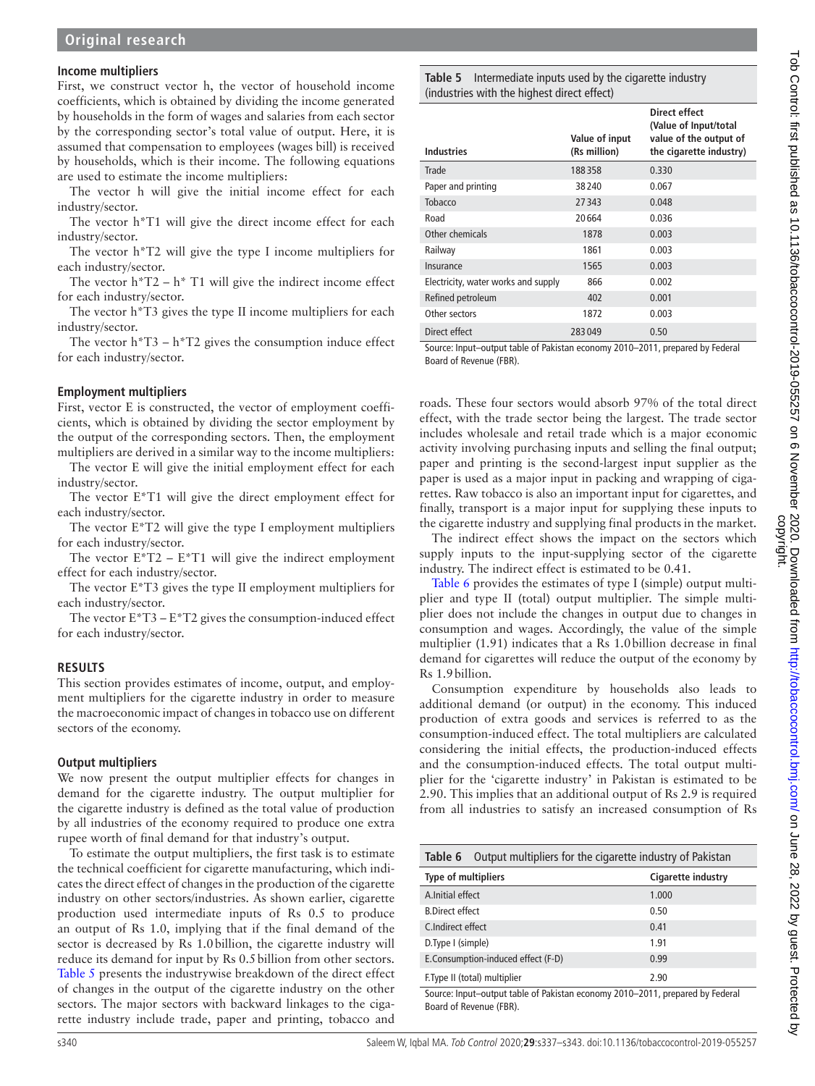# **Income multipliers**

First, we construct vector h, the vector of household income coefficients, which is obtained by dividing the income generated by households in the form of wages and salaries from each sector by the corresponding sector's total value of output. Here, it is assumed that compensation to employees (wages bill) is received by households, which is their income. The following equations are used to estimate the income multipliers:

The vector h will give the initial income effect for each industry/sector.

The vector h\*T1 will give the direct income effect for each industry/sector.

The vector h\*T2 will give the type I income multipliers for each industry/sector.

The vector  $h^*T2 - h^*T1$  will give the indirect income effect for each industry/sector.

The vector h\*T3 gives the type II income multipliers for each industry/sector.

The vector  $h^*T3 - h^*T2$  gives the consumption induce effect for each industry/sector.

#### **Employment multipliers**

First, vector E is constructed, the vector of employment coefficients, which is obtained by dividing the sector employment by the output of the corresponding sectors. Then, the employment multipliers are derived in a similar way to the income multipliers:

The vector E will give the initial employment effect for each industry/sector.

The vector E\*T1 will give the direct employment effect for each industry/sector.

The vector E\*T2 will give the type I employment multipliers for each industry/sector.

The vector  $E^*T2 - E^*T1$  will give the indirect employment effect for each industry/sector.

The vector E\*T3 gives the type II employment multipliers for each industry/sector.

The vector  $E^*T3 - E^*T2$  gives the consumption-induced effect for each industry/sector.

#### **RESULTS**

This section provides estimates of income, output, and employment multipliers for the cigarette industry in order to measure the macroeconomic impact of changes in tobacco use on different sectors of the economy.

#### **Output multipliers**

We now present the output multiplier effects for changes in demand for the cigarette industry. The output multiplier for the cigarette industry is defined as the total value of production by all industries of the economy required to produce one extra rupee worth of final demand for that industry's output.

To estimate the output multipliers, the first task is to estimate the technical coefficient for cigarette manufacturing, which indicates the direct effect of changes in the production of the cigarette industry on other sectors/industries. As shown earlier, cigarette production used intermediate inputs of Rs 0.5 to produce an output of Rs 1.0, implying that if the final demand of the sector is decreased by Rs 1.0billion, the cigarette industry will reduce its demand for input by Rs 0.5billion from other sectors. [Table](#page-3-0) 5 presents the industrywise breakdown of the direct effect of changes in the output of the cigarette industry on the other sectors. The major sectors with backward linkages to the cigarette industry include trade, paper and printing, tobacco and

#### <span id="page-3-0"></span>**Table 5** Intermediate inputs used by the cigarette industry (industries with the highest direct effect)

| <b>Industries</b>                   | Value of input<br>(Rs million) | Direct effect<br>(Value of Input/total<br>value of the output of<br>the cigarette industry) |
|-------------------------------------|--------------------------------|---------------------------------------------------------------------------------------------|
| Trade                               | 188358                         | 0.330                                                                                       |
| Paper and printing                  | 38240                          | 0.067                                                                                       |
| Tobacco                             | 27343                          | 0.048                                                                                       |
| Road                                | 20664                          | 0.036                                                                                       |
| Other chemicals                     | 1878                           | 0.003                                                                                       |
| Railway                             | 1861                           | 0.003                                                                                       |
| Insurance                           | 1565                           | 0.003                                                                                       |
| Electricity, water works and supply | 866                            | 0.002                                                                                       |
| Refined petroleum                   | 402                            | 0.001                                                                                       |
| Other sectors                       | 1872                           | 0.003                                                                                       |
| Direct effect                       | 283049                         | 0.50                                                                                        |

Source: Input–output table of Pakistan economy 2010–2011, prepared by Federal Board of Revenue (FBR).

roads. These four sectors would absorb 97% of the total direct effect, with the trade sector being the largest. The trade sector includes wholesale and retail trade which is a major economic activity involving purchasing inputs and selling the final output; paper and printing is the second-largest input supplier as the paper is used as a major input in packing and wrapping of cigarettes. Raw tobacco is also an important input for cigarettes, and finally, transport is a major input for supplying these inputs to the cigarette industry and supplying final products in the market.

The indirect effect shows the impact on the sectors which supply inputs to the input-supplying sector of the cigarette industry. The indirect effect is estimated to be 0.41.

[Table](#page-3-1) 6 provides the estimates of type I (simple) output multiplier and type II (total) output multiplier. The simple multiplier does not include the changes in output due to changes in consumption and wages. Accordingly, the value of the simple multiplier (1.91) indicates that a Rs 1.0billion decrease in final demand for cigarettes will reduce the output of the economy by Rs 1.9billion.

Consumption expenditure by households also leads to additional demand (or output) in the economy. This induced production of extra goods and services is referred to as the consumption-induced effect. The total multipliers are calculated considering the initial effects, the production-induced effects and the consumption-induced effects. The total output multiplier for the 'cigarette industry' in Pakistan is estimated to be 2.90. This implies that an additional output of Rs 2.9 is required from all industries to satisfy an increased consumption of Rs

<span id="page-3-1"></span>

| Output multipliers for the cigarette industry of Pakistan<br>Table 6                                     |                    |  |  |
|----------------------------------------------------------------------------------------------------------|--------------------|--|--|
| <b>Type of multipliers</b>                                                                               | Cigarette industry |  |  |
| A.Initial effect                                                                                         | 1.000              |  |  |
| <b>B.Direct effect</b>                                                                                   | 0.50               |  |  |
| C.Indirect effect                                                                                        | 0.41               |  |  |
| D. Type I (simple)                                                                                       | 1.91               |  |  |
| E.Consumption-induced effect (F-D)                                                                       | 0.99               |  |  |
| F. Type II (total) multiplier                                                                            | 2.90               |  |  |
| Source: Input-output table of Pakistan economy 2010-2011, prepared by Federal<br>Board of Revenue (FBR). |                    |  |  |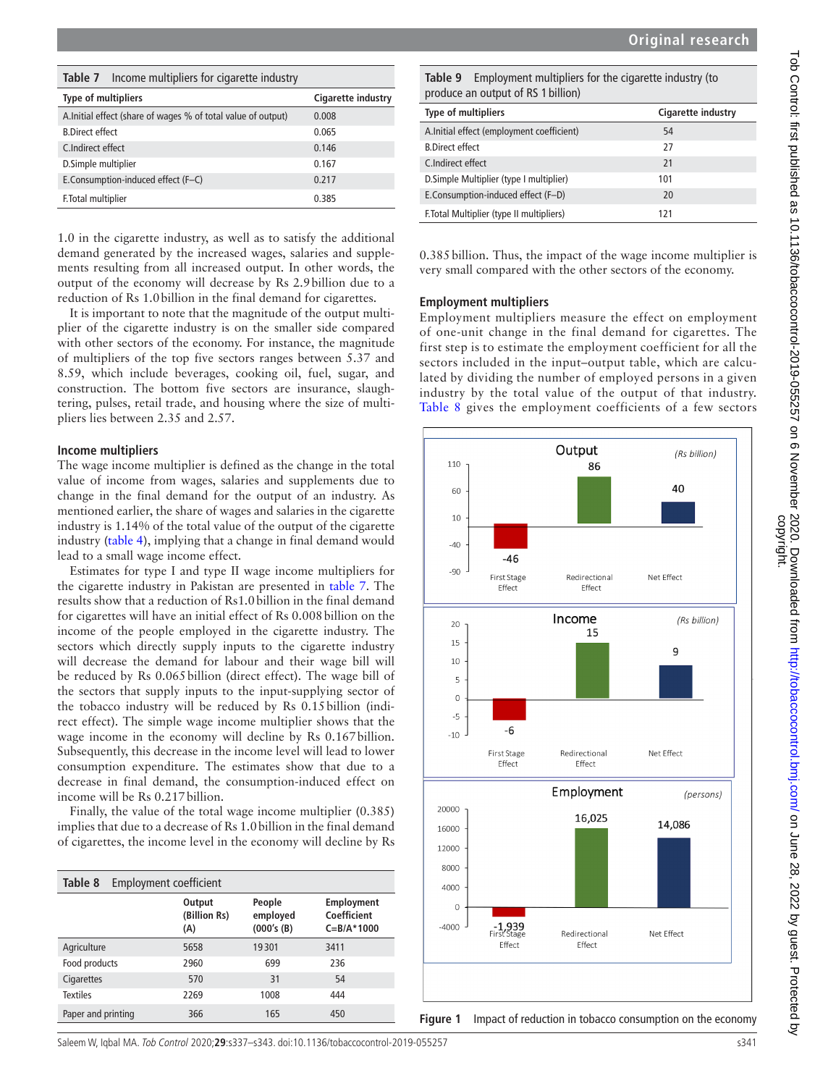| Top Control: trist published as 10.1136/topaccocontrol-2019-055257 on 6 November 2020. Downloaded from http://<br>T->ド つ>>++>-ド f::->+ >--ト「!:-ト」>ユ コ o ユつ ユユ2のイ+^ト^-フ<>->-<br><b>SALE CONTROLLER TO THAT TO THE CONTROLLER</b> |
|---------------------------------------------------------------------------------------------------------------------------------------------------------------------------------------------------------------------------------|
|                                                                                                                                                                                                                                 |
|                                                                                                                                                                                                                                 |

<span id="page-4-0"></span>

| Income multipliers for cigarette industry<br>Table 7         |                    |
|--------------------------------------------------------------|--------------------|
| <b>Type of multipliers</b>                                   | Cigarette industry |
| A.Initial effect (share of wages % of total value of output) | 0.008              |
| <b>B.Direct effect</b>                                       | 0.065              |
| C.Indirect effect                                            | 0.146              |
| D.Simple multiplier                                          | 0.167              |
| E.Consumption-induced effect (F-C)                           | 0.217              |
| F. Total multiplier                                          | 0.385              |

1.0 in the cigarette industry, as well as to satisfy the additional demand generated by the increased wages, salaries and supplements resulting from all increased output. In other words, the output of the economy will decrease by Rs 2.9billion due to a reduction of Rs 1.0billion in the final demand for cigarettes.

It is important to note that the magnitude of the output multiplier of the cigarette industry is on the smaller side compared with other sectors of the economy. For instance, the magnitude of multipliers of the top five sectors ranges between 5.37 and 8.59, which include beverages, cooking oil, fuel, sugar, and construction. The bottom five sectors are insurance, slaughtering, pulses, retail trade, and housing where the size of multipliers lies between 2.35 and 2.57.

#### **Income multipliers**

The wage income multiplier is defined as the change in the total value of income from wages, salaries and supplements due to change in the final demand for the output of an industry. As mentioned earlier, the share of wages and salaries in the cigarette industry is 1.14% of the total value of the output of the cigarette industry ([table](#page-2-0) 4), implying that a change in final demand would lead to a small wage income effect.

Estimates for type I and type II wage income multipliers for the cigarette industry in Pakistan are presented in [table](#page-4-0) 7. The results show that a reduction of Rs1.0billion in the final demand for cigarettes will have an initial effect of Rs 0.008 billion on the income of the people employed in the cigarette industry. The sectors which directly supply inputs to the cigarette industry will decrease the demand for labour and their wage bill will be reduced by Rs 0.065billion (direct effect). The wage bill of the sectors that supply inputs to the input-supplying sector of the tobacco industry will be reduced by Rs 0.15billion (indirect effect). The simple wage income multiplier shows that the wage income in the economy will decline by Rs 0.167billion. Subsequently, this decrease in the income level will lead to lower consumption expenditure. The estimates show that due to a decrease in final demand, the consumption-induced effect on income will be Rs 0.217billion.

Finally, the value of the total wage income multiplier (0.385) implies that due to a decrease of Rs 1.0billion in the final demand of cigarettes, the income level in the economy will decline by Rs

<span id="page-4-1"></span>

| Table 8<br>Employment coefficient |                               |                                  |                                                     |
|-----------------------------------|-------------------------------|----------------------------------|-----------------------------------------------------|
|                                   | Output<br>(Billion Rs)<br>(A) | People<br>employed<br>(000's(B)) | <b>Employment</b><br>Coefficient<br>$C = B/A$ *1000 |
| Agriculture                       | 5658                          | 19301                            | 3411                                                |
| Food products                     | 2960                          | 699                              | 236                                                 |
| Cigarettes                        | 570                           | 31                               | 54                                                  |
| <b>Textiles</b>                   | 2269                          | 1008                             | 444                                                 |
| Paper and printing                | 366                           | 165                              | 450                                                 |

<span id="page-4-2"></span>**Table 9** Employment multipliers for the cigarette industry (to produce an output of RS 1 billion)

| <b>Type of multipliers</b>                | Cigarette industry |
|-------------------------------------------|--------------------|
| A.Initial effect (employment coefficient) | 54                 |
| <b>B.Direct effect</b>                    | 27                 |
| C.Indirect effect                         | 21                 |
| D. Simple Multiplier (type I multiplier)  | 101                |
| E.Consumption-induced effect (F-D)        | 20                 |
| F. Total Multiplier (type II multipliers) | 171                |

0.385billion. Thus, the impact of the wage income multiplier is very small compared with the other sectors of the economy.

#### **Employment multipliers**

Employment multipliers measure the effect on employment of one-unit change in the final demand for cigarettes. The first step is to estimate the employment coefficient for all the sectors included in the input–output table, which are calculated by dividing the number of employed persons in a given industry by the total value of the output of that industry. [Table](#page-4-1) 8 gives the employment coefficients of a few sectors



<span id="page-4-3"></span>**Figure 1** Impact of reduction in tobacco consumption on the economy

Saleem W, Iqbal MA. Tob Control 2020;**29**:s337–s343. doi:10.1136/tobaccocontrol-2019-055257 s341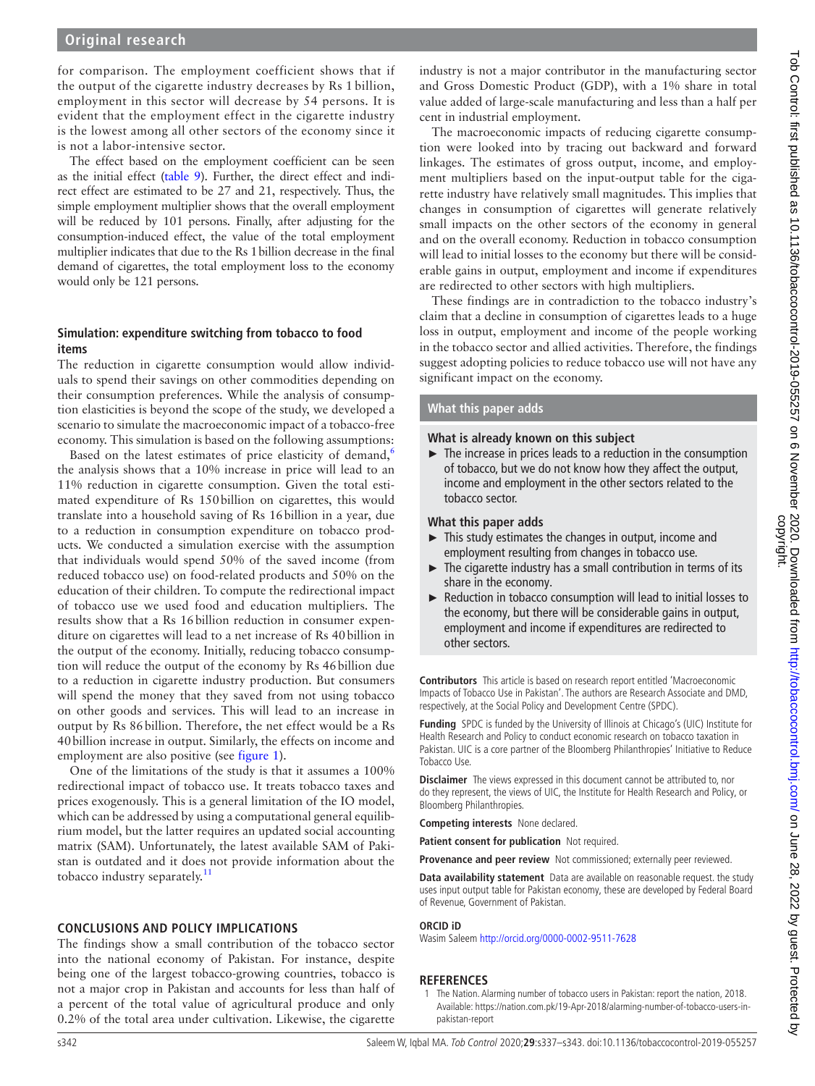# **Original research**

for comparison. The employment coefficient shows that if the output of the cigarette industry decreases by Rs 1 billion, employment in this sector will decrease by 54 persons. It is evident that the employment effect in the cigarette industry is the lowest among all other sectors of the economy since it is not a labor-intensive sector.

The effect based on the employment coefficient can be seen as the initial effect [\(table](#page-4-2) 9). Further, the direct effect and indirect effect are estimated to be 27 and 21, respectively. Thus, the simple employment multiplier shows that the overall employment will be reduced by 101 persons. Finally, after adjusting for the consumption-induced effect, the value of the total employment multiplier indicates that due to the Rs 1billion decrease in the final demand of cigarettes, the total employment loss to the economy would only be 121 persons.

# **Simulation: expenditure switching from tobacco to food items**

The reduction in cigarette consumption would allow individuals to spend their savings on other commodities depending on their consumption preferences. While the analysis of consumption elasticities is beyond the scope of the study, we developed a scenario to simulate the macroeconomic impact of a tobacco-free economy. This simulation is based on the following assumptions:

Based on the latest estimates of price elasticity of demand,<sup>[6](#page-6-4)</sup> the analysis shows that a 10% increase in price will lead to an 11% reduction in cigarette consumption. Given the total estimated expenditure of Rs 150billion on cigarettes, this would translate into a household saving of Rs 16billion in a year, due to a reduction in consumption expenditure on tobacco products. We conducted a simulation exercise with the assumption that individuals would spend 50% of the saved income (from reduced tobacco use) on food-related products and 50% on the education of their children. To compute the redirectional impact of tobacco use we used food and education multipliers. The results show that a Rs 16billion reduction in consumer expenditure on cigarettes will lead to a net increase of Rs 40billion in the output of the economy. Initially, reducing tobacco consumption will reduce the output of the economy by Rs 46billion due to a reduction in cigarette industry production. But consumers will spend the money that they saved from not using tobacco on other goods and services. This will lead to an increase in output by Rs 86billion. Therefore, the net effect would be a Rs 40billion increase in output. Similarly, the effects on income and employment are also positive (see [figure](#page-4-3) 1).

One of the limitations of the study is that it assumes a 100% redirectional impact of tobacco use. It treats tobacco taxes and prices exogenously. This is a general limitation of the IO model, which can be addressed by using a computational general equilibrium model, but the latter requires an updated social accounting matrix (SAM). Unfortunately, the latest available SAM of Pakistan is outdated and it does not provide information about the tobacco industry separately.<sup>[11](#page-6-5)</sup>

# **CONCLUSIONS AND POLICY IMPLICATIONS**

The findings show a small contribution of the tobacco sector into the national economy of Pakistan. For instance, despite being one of the largest tobacco-growing countries, tobacco is not a major crop in Pakistan and accounts for less than half of a percent of the total value of agricultural produce and only 0.2% of the total area under cultivation. Likewise, the cigarette

industry is not a major contributor in the manufacturing sector and Gross Domestic Product (GDP), with a 1% share in total value added of large-scale manufacturing and less than a half per cent in industrial employment.

The macroeconomic impacts of reducing cigarette consumption were looked into by tracing out backward and forward linkages. The estimates of gross output, income, and employment multipliers based on the input-output table for the cigarette industry have relatively small magnitudes. This implies that changes in consumption of cigarettes will generate relatively small impacts on the other sectors of the economy in general and on the overall economy. Reduction in tobacco consumption will lead to initial losses to the economy but there will be considerable gains in output, employment and income if expenditures are redirected to other sectors with high multipliers.

These findings are in contradiction to the tobacco industry's claim that a decline in consumption of cigarettes leads to a huge loss in output, employment and income of the people working in the tobacco sector and allied activities. Therefore, the findings suggest adopting policies to reduce tobacco use will not have any significant impact on the economy.

## **What this paper adds**

# **What is already known on this subject**

► The increase in prices leads to a reduction in the consumption of tobacco, but we do not know how they affect the output, income and employment in the other sectors related to the tobacco sector.

#### **What this paper adds**

- ► This study estimates the changes in output, income and employment resulting from changes in tobacco use.
- ► The cigarette industry has a small contribution in terms of its share in the economy.
- ► Reduction in tobacco consumption will lead to initial losses to the economy, but there will be considerable gains in output, employment and income if expenditures are redirected to other sectors.

**Contributors** This article is based on research report entitled 'Macroeconomic Impacts of Tobacco Use in Pakistan'. The authors are Research Associate and DMD, respectively, at the Social Policy and Development Centre (SPDC).

**Funding** SPDC is funded by the University of Illinois at Chicago's (UIC) Institute for Health Research and Policy to conduct economic research on tobacco taxation in Pakistan. UIC is a core partner of the Bloomberg Philanthropies' Initiative to Reduce Tobacco Use.

**Disclaimer** The views expressed in this document cannot be attributed to, nor do they represent, the views of UIC, the Institute for Health Research and Policy, or Bloomberg Philanthropies.

**Competing interests** None declared.

**Patient consent for publication** Not required.

**Provenance and peer review** Not commissioned; externally peer reviewed.

**Data availability statement** Data are available on reasonable request. the study uses input output table for Pakistan economy, these are developed by Federal Board of Revenue, Government of Pakistan.

#### **ORCID iD**

Wasim Saleem <http://orcid.org/0000-0002-9511-7628>

#### **REFERENCES**

<span id="page-5-0"></span>1 The Nation. Alarming number of tobacco users in Pakistan: report the nation, 2018. Available: [https://nation.com.pk/19-Apr-2018/alarming-number-of-tobacco-users-in](https://nation.com.pk/19-Apr-2018/alarming-number-of-tobacco-users-in-pakistan-report)[pakistan-report](https://nation.com.pk/19-Apr-2018/alarming-number-of-tobacco-users-in-pakistan-report)